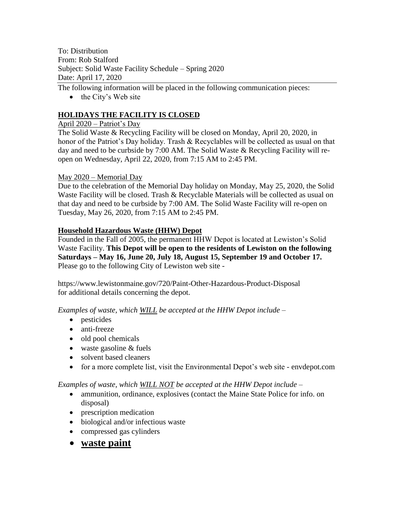To: Distribution From: Rob Stalford Subject: Solid Waste Facility Schedule – Spring 2020 Date: April 17, 2020

The following information will be placed in the following communication pieces:

• the City's Web site

# **HOLIDAYS THE FACILITY IS CLOSED**

#### April 2020 – Patriot's Day

The Solid Waste & Recycling Facility will be closed on Monday, April 20, 2020, in honor of the Patriot's Day holiday. Trash & Recyclables will be collected as usual on that day and need to be curbside by 7:00 AM. The Solid Waste & Recycling Facility will reopen on Wednesday, April 22, 2020, from 7:15 AM to 2:45 PM.

## May 2020 – Memorial Day

Due to the celebration of the Memorial Day holiday on Monday, May 25, 2020, the Solid Waste Facility will be closed. Trash & Recyclable Materials will be collected as usual on that day and need to be curbside by 7:00 AM. The Solid Waste Facility will re-open on Tuesday, May 26, 2020, from 7:15 AM to 2:45 PM.

## **Household Hazardous Waste (HHW) Depot**

Founded in the Fall of 2005, the permanent HHW Depot is located at Lewiston's Solid Waste Facility. **This Depot will be open to the residents of Lewiston on the following Saturdays – May 16, June 20, July 18, August 15, September 19 and October 17.** Please go to the following City of Lewiston web site -

https://www.lewistonmaine.gov/720/Paint-Other-Hazardous-Product-Disposal for additional details concerning the depot.

*Examples of waste, which WILL be accepted at the HHW Depot include –*

- pesticides
- anti-freeze
- $\bullet$  old pool chemicals
- waste gasoline & fuels
- solvent based cleaners
- for a more complete list, visit the Environmental Depot's web site envdepot.com

#### *Examples of waste, which WILL NOT be accepted at the HHW Depot include –*

- ammunition, ordinance, explosives (contact the Maine State Police for info. on disposal)
- prescription medication
- biological and/or infectious waste
- compressed gas cylinders
- **waste paint**